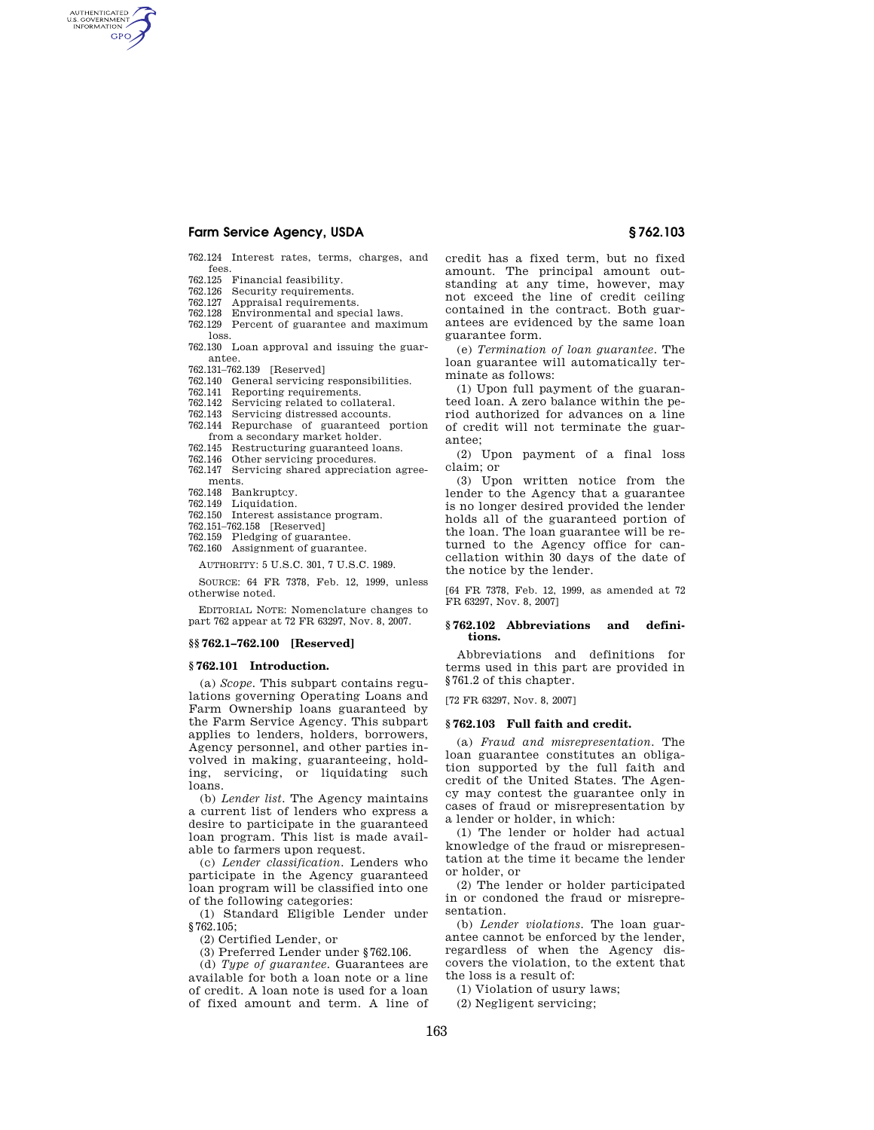# **Farm Service Agency, USDA § 762.103**

AUTHENTICATED<br>U.S. GOVERNMENT<br>INFORMATION **GPO** 

> 762.124 Interest rates, terms, charges, and fees.<br>762.125

- 762.125 Financial feasibility.
- 762.126 Security requirements.
- 762.127 Appraisal requirements.<br>762.128 Environmental and spec
- Environmental and special laws. 762.129 Percent of guarantee and maximum
- loss.
- 762.130 Loan approval and issuing the guarantee.
- 762.131–762.139 [Reserved]
- 762.140 General servicing responsibilities.
- 762.141 Reporting requirements.
- 762.142 Servicing related to collateral.
- 762.143 Servicing distressed accounts.
- 762.144 Repurchase of guaranteed portion from a secondary market holder.
- 762.145 Restructuring guaranteed loans.
- 762.146 Other servicing procedures.
- 762.147 Servicing shared appreciation agreements.
- 762.148 Bankruptcy.
- Liquidation.
- 762.150 Interest assistance program.
- 762.151–762.158 [Reserved]
- 762.159 Pledging of guarantee. 762.160 Assignment of guarantee.

AUTHORITY: 5 U.S.C. 301, 7 U.S.C. 1989.

SOURCE: 64 FR 7378, Feb. 12, 1999, unless

otherwise noted. EDITORIAL NOTE: Nomenclature changes to

part 762 appear at 72 FR 63297, Nov. 8, 2007.

## **§§ 762.1–762.100 [Reserved]**

### **§ 762.101 Introduction.**

(a) *Scope.* This subpart contains regulations governing Operating Loans and Farm Ownership loans guaranteed by the Farm Service Agency. This subpart applies to lenders, holders, borrowers, Agency personnel, and other parties involved in making, guaranteeing, holding, servicing, or liquidating such loans.

(b) *Lender list.* The Agency maintains a current list of lenders who express a desire to participate in the guaranteed loan program. This list is made available to farmers upon request.

(c) *Lender classification.* Lenders who participate in the Agency guaranteed loan program will be classified into one of the following categories:

(1) Standard Eligible Lender under §762.105;

(2) Certified Lender, or

(3) Preferred Lender under §762.106.

(d) *Type of guarantee.* Guarantees are available for both a loan note or a line of credit. A loan note is used for a loan of fixed amount and term. A line of credit has a fixed term, but no fixed amount. The principal amount outstanding at any time, however, may not exceed the line of credit ceiling contained in the contract. Both guarantees are evidenced by the same loan guarantee form.

(e) *Termination of loan guarantee.* The loan guarantee will automatically terminate as follows:

(1) Upon full payment of the guaranteed loan. A zero balance within the period authorized for advances on a line of credit will not terminate the guarantee;

(2) Upon payment of a final loss claim; or

(3) Upon written notice from the lender to the Agency that a guarantee is no longer desired provided the lender holds all of the guaranteed portion of the loan. The loan guarantee will be returned to the Agency office for cancellation within 30 days of the date of the notice by the lender.

[64 FR 7378, Feb. 12, 1999, as amended at 72 FR 63297, Nov. 8, 2007]

## **§ 762.102 Abbreviations and definitions.**

Abbreviations and definitions for terms used in this part are provided in §761.2 of this chapter.

[72 FR 63297, Nov. 8, 2007]

### **§ 762.103 Full faith and credit.**

(a) *Fraud and misrepresentation.* The loan guarantee constitutes an obligation supported by the full faith and credit of the United States. The Agency may contest the guarantee only in cases of fraud or misrepresentation by a lender or holder, in which:

(1) The lender or holder had actual knowledge of the fraud or misrepresentation at the time it became the lender or holder, or

(2) The lender or holder participated in or condoned the fraud or misrepresentation.

(b) *Lender violations.* The loan guarantee cannot be enforced by the lender, regardless of when the Agency discovers the violation, to the extent that the loss is a result of:

(1) Violation of usury laws;

(2) Negligent servicing;